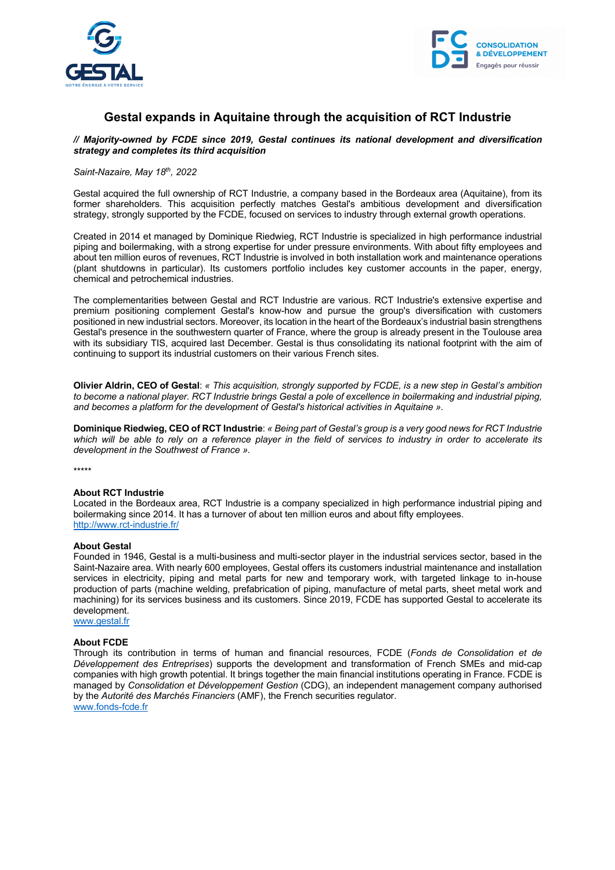



# **Gestal expands in Aquitaine through the acquisition of RCT Industrie**

*// Majority-owned by FCDE since 2019, Gestal continues its national development and diversification strategy and completes its third acquisition*

### *Saint-Nazaire, May 18th, 2022*

Gestal acquired the full ownership of RCT Industrie, a company based in the Bordeaux area (Aquitaine), from its former shareholders. This acquisition perfectly matches Gestal's ambitious development and diversification strategy, strongly supported by the FCDE, focused on services to industry through external growth operations.

Created in 2014 et managed by Dominique Riedwieg, RCT Industrie is specialized in high performance industrial piping and boilermaking, with a strong expertise for under pressure environments. With about fifty employees and about ten million euros of revenues, RCT Industrie is involved in both installation work and maintenance operations (plant shutdowns in particular). Its customers portfolio includes key customer accounts in the paper, energy, chemical and petrochemical industries.

The complementarities between Gestal and RCT Industrie are various. RCT Industrie's extensive expertise and premium positioning complement Gestal's know-how and pursue the group's diversification with customers positioned in new industrial sectors. Moreover, its location in the heart of the Bordeaux's industrial basin strengthens Gestal's presence in the southwestern quarter of France, where the group is already present in the Toulouse area with its subsidiary TIS, acquired last December. Gestal is thus consolidating its national footprint with the aim of continuing to support its industrial customers on their various French sites.

**Olivier Aldrin, CEO of Gestal**: *« This acquisition, strongly supported by FCDE, is a new step in Gestal's ambition to become a national player. RCT Industrie brings Gestal a pole of excellence in boilermaking and industrial piping, and becomes a platform for the development of Gestal's historical activities in Aquitaine ».*

**Dominique Riedwieg, CEO of RCT Industrie**: *« Being part of Gestal's group is a very good news for RCT Industrie which will be able to rely on a reference player in the field of services to industry in order to accelerate its development in the Southwest of France ».*

\*\*\*\*\*

#### **About RCT Industrie**

Located in the Bordeaux area, RCT Industrie is a company specialized in high performance industrial piping and boilermaking since 2014. It has a turnover of about ten million euros and about fifty employees. http://www.rct-industrie.fr/

#### **About Gestal**

Founded in 1946, Gestal is a multi-business and multi-sector player in the industrial services sector, based in the Saint-Nazaire area. With nearly 600 employees, Gestal offers its customers industrial maintenance and installation services in electricity, piping and metal parts for new and temporary work, with targeted linkage to in-house production of parts (machine welding, prefabrication of piping, manufacture of metal parts, sheet metal work and machining) for its services business and its customers. Since 2019, FCDE has supported Gestal to accelerate its development.

www.gestal.fr

#### **About FCDE**

Through its contribution in terms of human and financial resources, FCDE (*Fonds de Consolidation et de Développement des Entreprises*) supports the development and transformation of French SMEs and mid-cap companies with high growth potential. It brings together the main financial institutions operating in France. FCDE is managed by *Consolidation et Développement Gestion* (CDG), an independent management company authorised by the *Autorité des Marchés Financiers* (AMF), the French securities regulator. www.fonds-fcde.fr